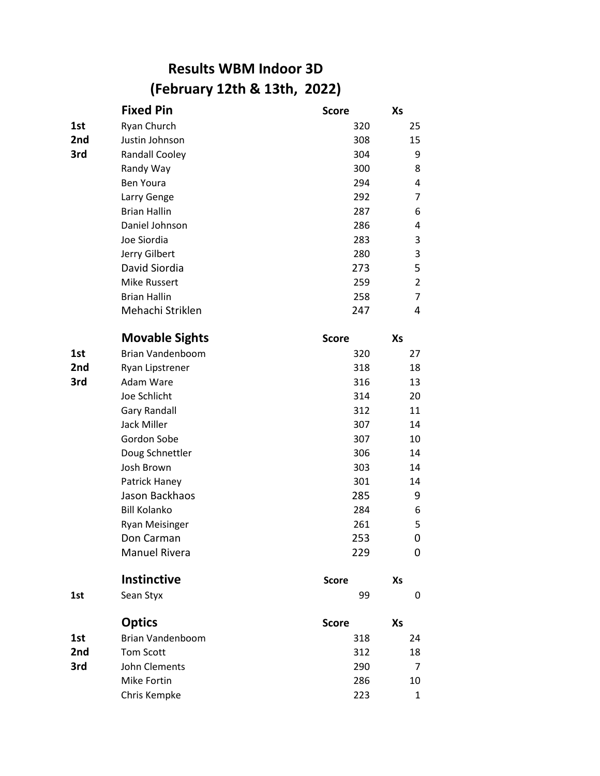## **Results WBM Indoor 3D (February 12th & 13th, 2022)**

|     | <b>Fixed Pin</b>        | <b>Score</b> | Xs             |
|-----|-------------------------|--------------|----------------|
| 1st | Ryan Church             | 320          | 25             |
| 2nd | Justin Johnson          | 308          | 15             |
| 3rd | <b>Randall Cooley</b>   | 304          | 9              |
|     | Randy Way               | 300          | 8              |
|     | <b>Ben Youra</b>        | 294          | 4              |
|     | Larry Genge             | 292          | $\overline{7}$ |
|     | <b>Brian Hallin</b>     | 287          | 6              |
|     | Daniel Johnson          | 286          | 4              |
|     | Joe Siordia             | 283          | 3              |
|     | Jerry Gilbert           | 280          | 3              |
|     | David Siordia           | 273          | 5              |
|     | <b>Mike Russert</b>     | 259          | $\overline{2}$ |
|     | <b>Brian Hallin</b>     | 258          | 7              |
|     | Mehachi Striklen        | 247          | 4              |
|     | <b>Movable Sights</b>   | <b>Score</b> | Xs             |
| 1st | <b>Brian Vandenboom</b> | 320          | 27             |
| 2nd | Ryan Lipstrener         | 318          | 18             |
| 3rd | Adam Ware               | 316          | 13             |
|     | Joe Schlicht            | 314          | 20             |
|     | <b>Gary Randall</b>     | 312          | 11             |
|     | <b>Jack Miller</b>      | 307          | 14             |
|     | Gordon Sobe             | 307          | 10             |
|     | Doug Schnettler         | 306          | 14             |
|     | Josh Brown              | 303          | 14             |
|     | Patrick Haney           | 301          | 14             |
|     | Jason Backhaos          | 285          | 9              |
|     | <b>Bill Kolanko</b>     | 284          | 6              |
|     | <b>Ryan Meisinger</b>   | 261          | 5              |
|     | Don Carman              | 253          | 0              |
|     | <b>Manuel Rivera</b>    | 229          | 0              |
|     | <b>Instinctive</b>      | <b>Score</b> | Xs             |
| 1st | Sean Styx               | 99           | 0              |
|     | <b>Optics</b>           | <b>Score</b> | Xs             |
| 1st | <b>Brian Vandenboom</b> | 318          | 24             |
| 2nd | <b>Tom Scott</b>        | 312          | 18             |
| 3rd | John Clements           | 290          | 7              |
|     | Mike Fortin             | 286          | 10             |
|     | Chris Kempke            | 223          | 1              |